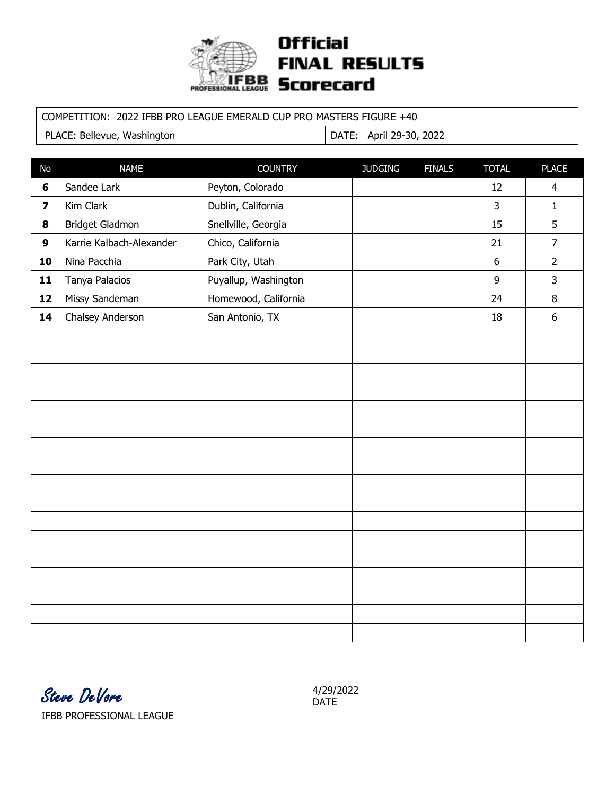

## **Official FINAL RESULTS PROFESSIONAL LEAGUE SCOreCard**

#### COMPETITION: 2022 IFBB PRO LEAGUE EMERALD CUP PRO MASTERS FIGURE +40

PLACE: Bellevue, Washington | DATE: April 29-30, 2022

| <b>No</b>               | <b>NAME</b>              | <b>COUNTRY</b>       | <b>JUDGING</b> | <b>FINALS</b> | <b>TOTAL</b>   | <b>PLACE</b>     |
|-------------------------|--------------------------|----------------------|----------------|---------------|----------------|------------------|
| $\boldsymbol{6}$        | Sandee Lark              | Peyton, Colorado     |                |               | 12             | $\overline{4}$   |
| $\overline{\mathbf{z}}$ | Kim Clark                | Dublin, California   |                |               | $\overline{3}$ | $\mathbf{1}$     |
| 8                       | Bridget Gladmon          | Snellville, Georgia  |                |               | 15             | 5                |
| $\mathbf{9}$            | Karrie Kalbach-Alexander | Chico, California    |                |               | 21             | $\overline{7}$   |
| 10                      | Nina Pacchia             | Park City, Utah      |                |               | $6\,$          | $\overline{2}$   |
| 11                      | Tanya Palacios           | Puyallup, Washington |                |               | 9              | $\overline{3}$   |
| 12                      | Missy Sandeman           | Homewood, California |                |               | 24             | $\, 8$           |
| 14                      | Chalsey Anderson         | San Antonio, TX      |                |               | 18             | $\boldsymbol{6}$ |
|                         |                          |                      |                |               |                |                  |
|                         |                          |                      |                |               |                |                  |
|                         |                          |                      |                |               |                |                  |
|                         |                          |                      |                |               |                |                  |
|                         |                          |                      |                |               |                |                  |
|                         |                          |                      |                |               |                |                  |
|                         |                          |                      |                |               |                |                  |
|                         |                          |                      |                |               |                |                  |
|                         |                          |                      |                |               |                |                  |
|                         |                          |                      |                |               |                |                  |
|                         |                          |                      |                |               |                |                  |
|                         |                          |                      |                |               |                |                  |
|                         |                          |                      |                |               |                |                  |
|                         |                          |                      |                |               |                |                  |
|                         |                          |                      |                |               |                |                  |
|                         |                          |                      |                |               |                |                  |
|                         |                          |                      |                |               |                |                  |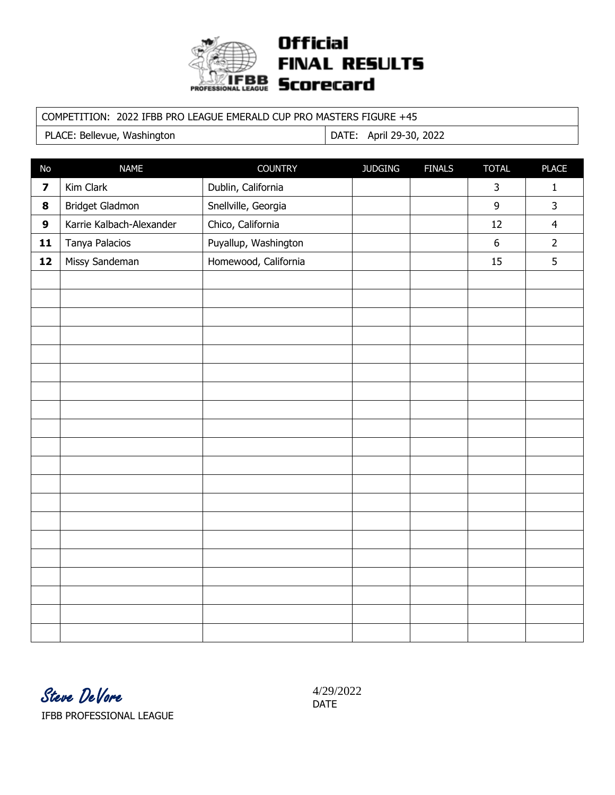

## **Official FINAL RESULTS PROFESSIONAL LEAGUE SCOreCard**

#### COMPETITION: 2022 IFBB PRO LEAGUE EMERALD CUP PRO MASTERS FIGURE +45

PLACE: Bellevue, Washington | DATE: April 29-30, 2022

| No                      | <b>NAME</b>              | <b>COUNTRY</b>       | <b>JUDGING</b> | <b>FINALS</b> | <b>TOTAL</b>     | <b>PLACE</b>   |
|-------------------------|--------------------------|----------------------|----------------|---------------|------------------|----------------|
| $\overline{\mathbf{z}}$ | Kim Clark                | Dublin, California   |                |               | 3                | $\mathbf{1}$   |
| 8                       | Bridget Gladmon          | Snellville, Georgia  |                |               | 9                | $\overline{3}$ |
| $\mathbf{9}$            | Karrie Kalbach-Alexander | Chico, California    |                |               | 12               | $\overline{4}$ |
| 11                      | Tanya Palacios           | Puyallup, Washington |                |               | $\boldsymbol{6}$ | $\overline{2}$ |
| 12                      | Missy Sandeman           | Homewood, California |                |               | 15               | 5              |
|                         |                          |                      |                |               |                  |                |
|                         |                          |                      |                |               |                  |                |
|                         |                          |                      |                |               |                  |                |
|                         |                          |                      |                |               |                  |                |
|                         |                          |                      |                |               |                  |                |
|                         |                          |                      |                |               |                  |                |
|                         |                          |                      |                |               |                  |                |
|                         |                          |                      |                |               |                  |                |
|                         |                          |                      |                |               |                  |                |
|                         |                          |                      |                |               |                  |                |
|                         |                          |                      |                |               |                  |                |
|                         |                          |                      |                |               |                  |                |
|                         |                          |                      |                |               |                  |                |
|                         |                          |                      |                |               |                  |                |
|                         |                          |                      |                |               |                  |                |
|                         |                          |                      |                |               |                  |                |
|                         |                          |                      |                |               |                  |                |
|                         |                          |                      |                |               |                  |                |
|                         |                          |                      |                |               |                  |                |
|                         |                          |                      |                |               |                  |                |

4/29/2022 DATE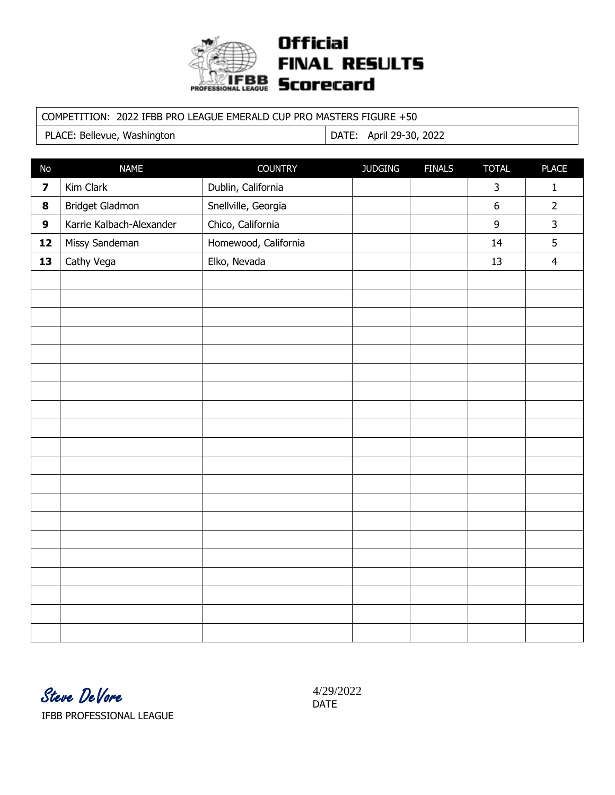

## **Official FINAL RESULTS PROFESSIONAL LEAGUE SCOreCard**

#### COMPETITION: 2022 IFBB PRO LEAGUE EMERALD CUP PRO MASTERS FIGURE +50

PLACE: Bellevue, Washington | DATE: April 29-30, 2022

| No                      | <b>NAME</b>              | <b>COUNTRY</b>       | <b>JUDGING</b> | <b>FINALS</b> | <b>TOTAL</b>     | <b>PLACE</b>   |
|-------------------------|--------------------------|----------------------|----------------|---------------|------------------|----------------|
| $\overline{\mathbf{z}}$ | Kim Clark                | Dublin, California   |                |               | 3                | $\mathbf 1$    |
| 8                       | Bridget Gladmon          | Snellville, Georgia  |                |               | $\boldsymbol{6}$ | $\overline{2}$ |
| $\boldsymbol{9}$        | Karrie Kalbach-Alexander | Chico, California    |                |               | 9                | $\mathsf{3}$   |
| 12                      | Missy Sandeman           | Homewood, California |                |               | 14               | 5              |
| 13                      | Cathy Vega               | Elko, Nevada         |                |               | 13               | $\overline{4}$ |
|                         |                          |                      |                |               |                  |                |
|                         |                          |                      |                |               |                  |                |
|                         |                          |                      |                |               |                  |                |
|                         |                          |                      |                |               |                  |                |
|                         |                          |                      |                |               |                  |                |
|                         |                          |                      |                |               |                  |                |
|                         |                          |                      |                |               |                  |                |
|                         |                          |                      |                |               |                  |                |
|                         |                          |                      |                |               |                  |                |
|                         |                          |                      |                |               |                  |                |
|                         |                          |                      |                |               |                  |                |
|                         |                          |                      |                |               |                  |                |
|                         |                          |                      |                |               |                  |                |
|                         |                          |                      |                |               |                  |                |
|                         |                          |                      |                |               |                  |                |
|                         |                          |                      |                |               |                  |                |
|                         |                          |                      |                |               |                  |                |
|                         |                          |                      |                |               |                  |                |
|                         |                          |                      |                |               |                  |                |
|                         |                          |                      |                |               |                  |                |

Steve DeVore IFBB PROFESSIONAL LEAGUE

4/29/2022 DATE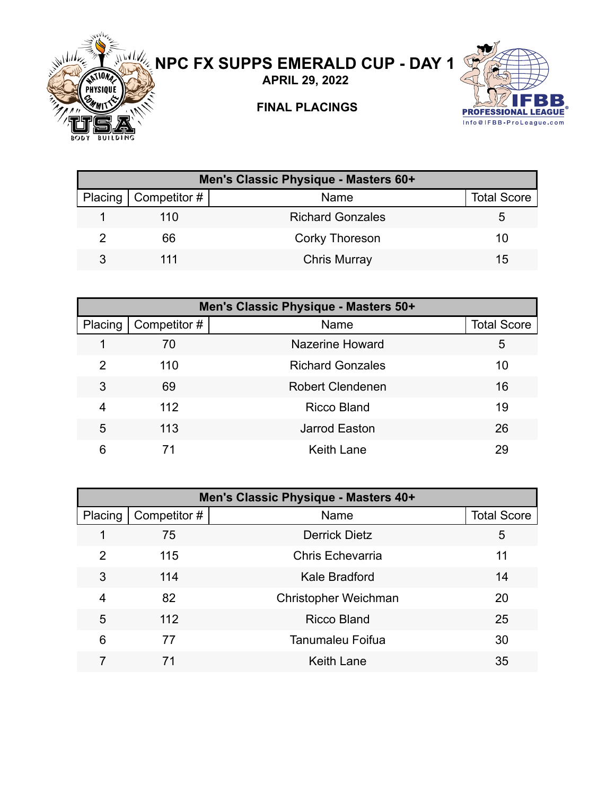

# **NPC FX SUPPS EMERALD CUP - DAY 1**

**APRIL 29, 2022**



### **FINAL PLACINGS**

| Men's Classic Physique - Masters 60+ |                        |                         |                    |  |  |
|--------------------------------------|------------------------|-------------------------|--------------------|--|--|
|                                      | Placing   Competitor # | Name                    | <b>Total Score</b> |  |  |
|                                      | 110                    | <b>Richard Gonzales</b> |                    |  |  |
|                                      | 66                     | Corky Thoreson          | 10.                |  |  |
|                                      | 111                    | <b>Chris Murray</b>     | 15                 |  |  |

|         | Men's Classic Physique - Masters 50+ |                         |                    |  |  |  |
|---------|--------------------------------------|-------------------------|--------------------|--|--|--|
| Placing | Competitor #                         | Name                    | <b>Total Score</b> |  |  |  |
|         | 70                                   | Nazerine Howard         | 5                  |  |  |  |
| 2       | 110                                  | <b>Richard Gonzales</b> | 10                 |  |  |  |
| 3       | 69                                   | <b>Robert Clendenen</b> | 16                 |  |  |  |
| 4       | 112                                  | <b>Ricco Bland</b>      | 19                 |  |  |  |
| 5       | 113                                  | <b>Jarrod Easton</b>    | 26                 |  |  |  |
| 6       |                                      | <b>Keith Lane</b>       | 29                 |  |  |  |

|                | Men's Classic Physique - Masters 40+ |                             |                    |  |  |  |
|----------------|--------------------------------------|-----------------------------|--------------------|--|--|--|
| Placing        | Competitor#                          | Name                        | <b>Total Score</b> |  |  |  |
| 1              | 75                                   | <b>Derrick Dietz</b>        | 5                  |  |  |  |
| $\overline{2}$ | 115                                  | <b>Chris Echevarria</b>     | 11                 |  |  |  |
| 3              | 114                                  | Kale Bradford               | 14                 |  |  |  |
| 4              | 82                                   | <b>Christopher Weichman</b> | 20                 |  |  |  |
| 5              | 112                                  | <b>Ricco Bland</b>          | 25                 |  |  |  |
| 6              | 77                                   | <b>Tanumaleu Foifua</b>     | 30                 |  |  |  |
| 7              | 71                                   | <b>Keith Lane</b>           | 35                 |  |  |  |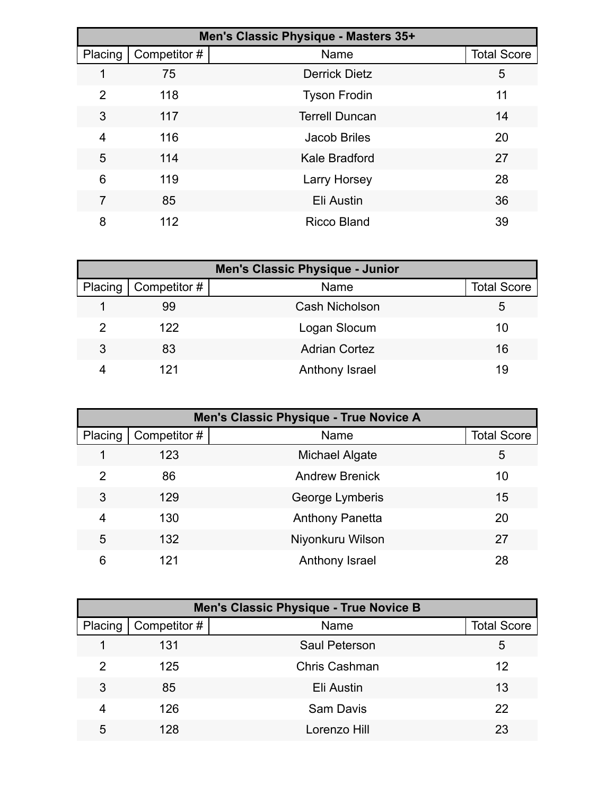|         | Men's Classic Physique - Masters 35+ |                       |                    |  |  |  |
|---------|--------------------------------------|-----------------------|--------------------|--|--|--|
| Placing | Competitor #                         | Name                  | <b>Total Score</b> |  |  |  |
|         | 75                                   | <b>Derrick Dietz</b>  | 5                  |  |  |  |
| 2       | 118                                  | <b>Tyson Frodin</b>   | 11                 |  |  |  |
| 3       | 117                                  | <b>Terrell Duncan</b> | 14                 |  |  |  |
| 4       | 116                                  | <b>Jacob Briles</b>   | 20                 |  |  |  |
| 5       | 114                                  | Kale Bradford         | 27                 |  |  |  |
| 6       | 119                                  | <b>Larry Horsey</b>   | 28                 |  |  |  |
| 7       | 85                                   | Eli Austin            | 36                 |  |  |  |
| 8       | 112                                  | <b>Ricco Bland</b>    | 39                 |  |  |  |

| <b>Men's Classic Physique - Junior</b> |              |                      |                    |  |  |
|----------------------------------------|--------------|----------------------|--------------------|--|--|
| Placing                                | Competitor # | Name                 | <b>Total Score</b> |  |  |
|                                        | 99           | Cash Nicholson       | 5                  |  |  |
| っ                                      | 122          | Logan Slocum         | 10                 |  |  |
| 3                                      | 83           | <b>Adrian Cortez</b> | 16                 |  |  |
|                                        | 121          | Anthony Israel       | 19                 |  |  |

|         | Men's Classic Physique - True Novice A |                        |                    |  |  |
|---------|----------------------------------------|------------------------|--------------------|--|--|
| Placing | Competitor #                           | Name                   | <b>Total Score</b> |  |  |
|         | 123                                    | Michael Algate         | 5                  |  |  |
| 2       | 86                                     | <b>Andrew Brenick</b>  | 10                 |  |  |
| 3       | 129                                    | George Lymberis        | 15                 |  |  |
| 4       | 130                                    | <b>Anthony Panetta</b> | 20                 |  |  |
| 5       | 132                                    | Niyonkuru Wilson       | 27                 |  |  |
| 6       | 121                                    | Anthony Israel         | 28                 |  |  |

|         | <b>Men's Classic Physique - True Novice B</b> |                      |                    |  |  |  |
|---------|-----------------------------------------------|----------------------|--------------------|--|--|--|
| Placing | Competitor #                                  | Name                 | <b>Total Score</b> |  |  |  |
|         | 131                                           | Saul Peterson        | 5                  |  |  |  |
| 2       | 125                                           | <b>Chris Cashman</b> | 12                 |  |  |  |
| 3       | 85                                            | Eli Austin           | 13                 |  |  |  |
| 4       | 126                                           | <b>Sam Davis</b>     | 22                 |  |  |  |
| 5       | 128                                           | Lorenzo Hill         | 23                 |  |  |  |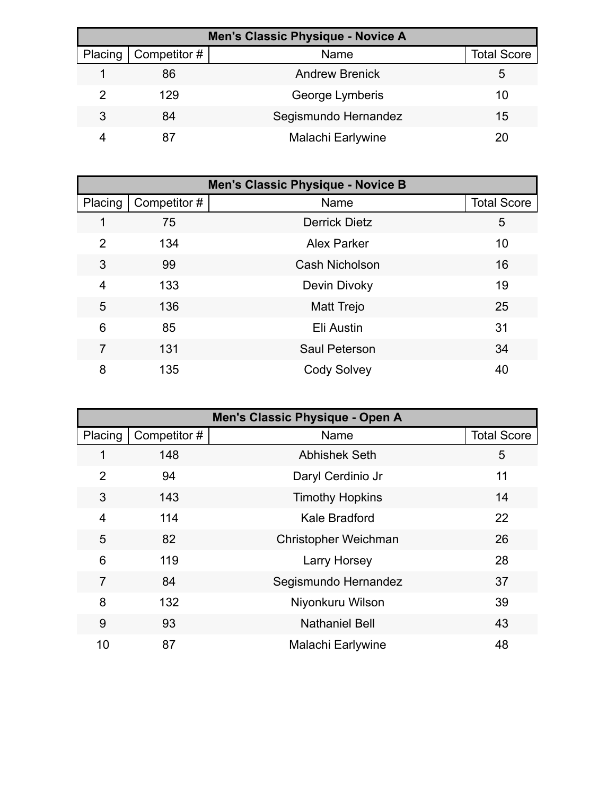| Men's Classic Physique - Novice A |              |                       |                    |  |  |
|-----------------------------------|--------------|-----------------------|--------------------|--|--|
| Placing                           | Competitor # | Name                  | <b>Total Score</b> |  |  |
|                                   | 86           | <b>Andrew Brenick</b> | 5                  |  |  |
| ႒                                 | 129          | George Lymberis       | 10                 |  |  |
| 3                                 | 84           | Segismundo Hernandez  | 15                 |  |  |
|                                   |              | Malachi Earlywine     | 20                 |  |  |

| <b>Men's Classic Physique - Novice B</b> |              |                       |                    |  |
|------------------------------------------|--------------|-----------------------|--------------------|--|
| Placing                                  | Competitor # | Name                  | <b>Total Score</b> |  |
|                                          | 75           | <b>Derrick Dietz</b>  | 5                  |  |
| 2                                        | 134          | <b>Alex Parker</b>    | 10                 |  |
| 3                                        | 99           | <b>Cash Nicholson</b> | 16                 |  |
| 4                                        | 133          | Devin Divoky          | 19                 |  |
| 5                                        | 136          | Matt Trejo            | 25                 |  |
| 6                                        | 85           | Eli Austin            | 31                 |  |
| $\overline{7}$                           | 131          | <b>Saul Peterson</b>  | 34                 |  |
| 8                                        | 135          | <b>Cody Solvey</b>    | 40                 |  |

| Men's Classic Physique - Open A |             |                             |                    |
|---------------------------------|-------------|-----------------------------|--------------------|
| Placing                         | Competitor# | Name                        | <b>Total Score</b> |
| 1                               | 148         | <b>Abhishek Seth</b>        | 5                  |
| $\overline{2}$                  | 94          | Daryl Cerdinio Jr           | 11                 |
| 3                               | 143         | <b>Timothy Hopkins</b>      | 14                 |
| 4                               | 114         | Kale Bradford               | 22                 |
| 5                               | 82          | <b>Christopher Weichman</b> | 26                 |
| 6                               | 119         | <b>Larry Horsey</b>         | 28                 |
| $\overline{7}$                  | 84          | Segismundo Hernandez        | 37                 |
| 8                               | 132         | Niyonkuru Wilson            | 39                 |
| 9                               | 93          | <b>Nathaniel Bell</b>       | 43                 |
| 10                              | 87          | Malachi Earlywine           | 48                 |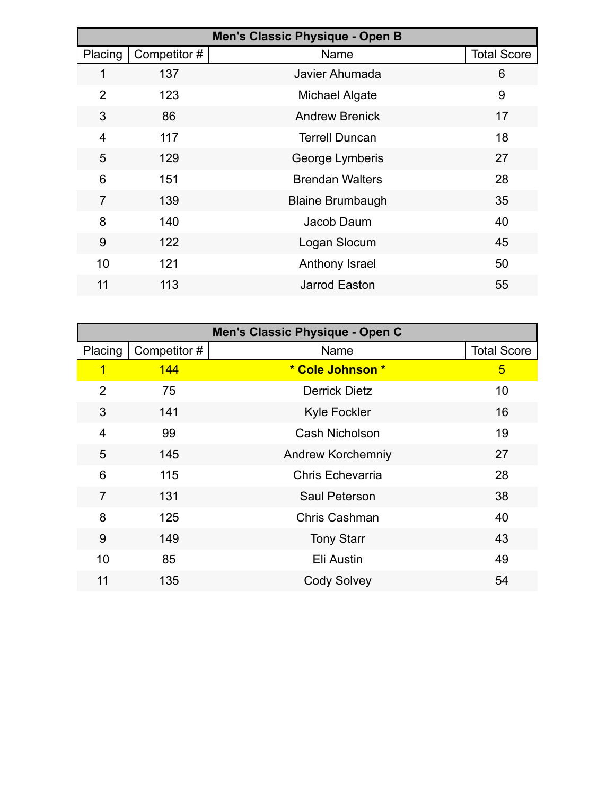| Men's Classic Physique - Open B |             |                         |                    |
|---------------------------------|-------------|-------------------------|--------------------|
| Placing                         | Competitor# | Name                    | <b>Total Score</b> |
|                                 | 137         | Javier Ahumada          | 6                  |
| $\overline{2}$                  | 123         | Michael Algate          | 9                  |
| 3                               | 86          | <b>Andrew Brenick</b>   | 17                 |
| 4                               | 117         | <b>Terrell Duncan</b>   | 18                 |
| 5                               | 129         | George Lymberis         | 27                 |
| 6                               | 151         | <b>Brendan Walters</b>  | 28                 |
| 7                               | 139         | <b>Blaine Brumbaugh</b> | 35                 |
| 8                               | 140         | Jacob Daum              | 40                 |
| 9                               | 122         | Logan Slocum            | 45                 |
| 10                              | 121         | Anthony Israel          | 50                 |
| 11                              | 113         | Jarrod Easton           | 55                 |

| Men's Classic Physique - Open C |              |                          |                    |  |
|---------------------------------|--------------|--------------------------|--------------------|--|
| Placing                         | Competitor # | Name                     | <b>Total Score</b> |  |
| 1                               | 144          | * Cole Johnson *         | 5                  |  |
| $\overline{2}$                  | 75           | <b>Derrick Dietz</b>     | 10                 |  |
| 3                               | 141          | <b>Kyle Fockler</b>      | 16                 |  |
| 4                               | 99           | <b>Cash Nicholson</b>    | 19                 |  |
| 5                               | 145          | <b>Andrew Korchemniy</b> | 27                 |  |
| 6                               | 115          | <b>Chris Echevarria</b>  | 28                 |  |
| $\overline{7}$                  | 131          | <b>Saul Peterson</b>     | 38                 |  |
| 8                               | 125          | <b>Chris Cashman</b>     | 40                 |  |
| 9                               | 149          | <b>Tony Starr</b>        | 43                 |  |
| 10                              | 85           | Eli Austin               | 49                 |  |
| 11                              | 135          | <b>Cody Solvey</b>       | 54                 |  |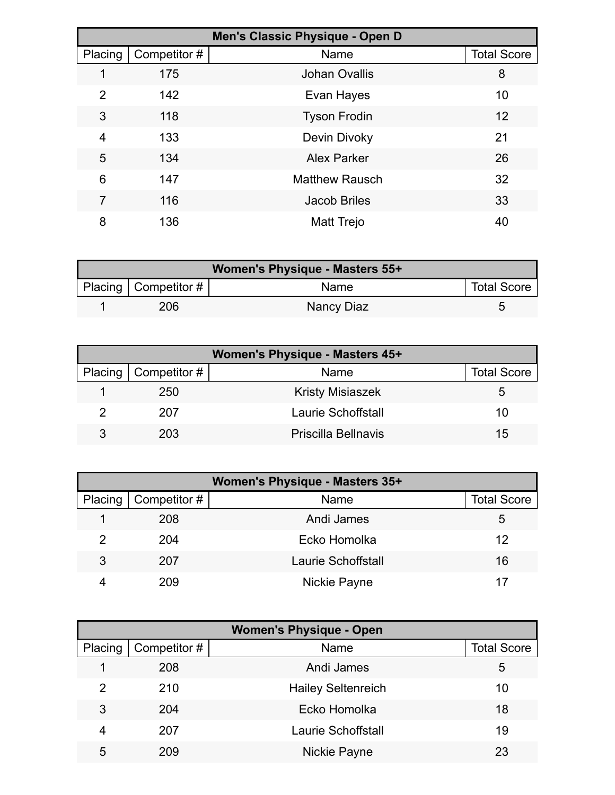| Men's Classic Physique - Open D |              |                       |                    |
|---------------------------------|--------------|-----------------------|--------------------|
| Placing                         | Competitor # | Name                  | <b>Total Score</b> |
|                                 | 175          | <b>Johan Ovallis</b>  | 8                  |
| $\overline{2}$                  | 142          | Evan Hayes            | 10                 |
| 3                               | 118          | <b>Tyson Frodin</b>   | 12                 |
| 4                               | 133          | Devin Divoky          | 21                 |
| 5                               | 134          | <b>Alex Parker</b>    | 26                 |
| 6                               | 147          | <b>Matthew Rausch</b> | 32                 |
| 7                               | 116          | Jacob Briles          | 33                 |
| 8                               | 136          | Matt Trejo            | 40                 |

| Women's Physique - Masters 55+ |                        |             |                    |  |
|--------------------------------|------------------------|-------------|--------------------|--|
|                                | Placing   Competitor # | <b>Name</b> | <b>Total Score</b> |  |
|                                | 206                    | Nancy Diaz  |                    |  |

| <b>Women's Physique - Masters 45+</b> |                              |                           |                    |  |
|---------------------------------------|------------------------------|---------------------------|--------------------|--|
|                                       | Placing $\vert$ Competitor # | Name                      | <b>Total Score</b> |  |
|                                       | 250                          | <b>Kristy Misiaszek</b>   | 5.                 |  |
|                                       | 207                          | <b>Laurie Schoffstall</b> | 10                 |  |
| 3                                     | 203                          | Priscilla Bellnavis       | 15                 |  |

| Women's Physique - Masters 35+ |              |                           |                    |  |
|--------------------------------|--------------|---------------------------|--------------------|--|
| Placing                        | Competitor # | Name                      | <b>Total Score</b> |  |
|                                | 208          | Andi James                | 5                  |  |
|                                | 204          | Ecko Homolka              | 12                 |  |
| 3                              | 207          | <b>Laurie Schoffstall</b> | 16                 |  |
|                                | 209          | Nickie Payne              |                    |  |

| <b>Women's Physique - Open</b> |              |                           |                    |  |
|--------------------------------|--------------|---------------------------|--------------------|--|
| Placing                        | Competitor # | Name                      | <b>Total Score</b> |  |
|                                | 208          | Andi James                | 5                  |  |
| 2                              | 210          | <b>Hailey Seltenreich</b> | 10                 |  |
| 3                              | 204          | Ecko Homolka              | 18                 |  |
| 4                              | 207          | <b>Laurie Schoffstall</b> | 19                 |  |
| 5                              | 209          | Nickie Payne              | 23                 |  |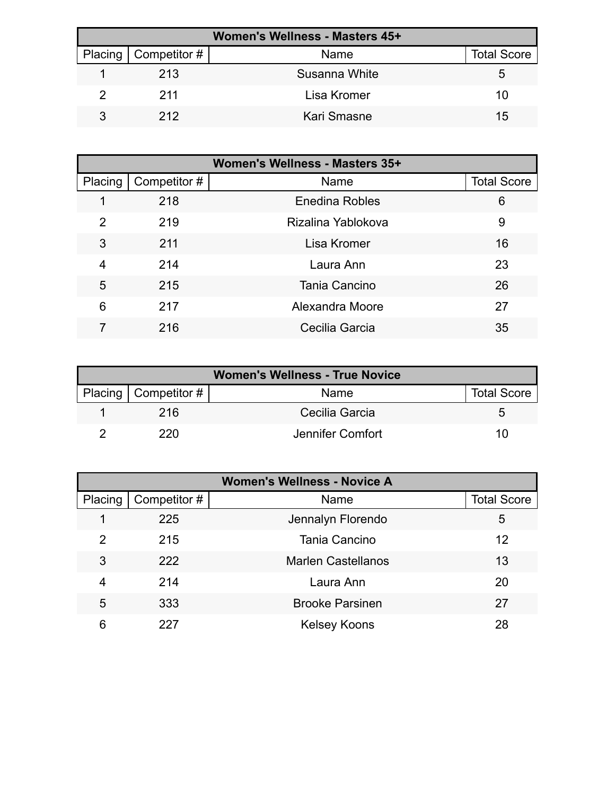| Women's Wellness - Masters 45+ |                        |               |                    |  |
|--------------------------------|------------------------|---------------|--------------------|--|
|                                | Placing   Competitor # | Name          | <b>Total Score</b> |  |
|                                | 213                    | Susanna White | 5                  |  |
|                                | 211                    | Lisa Kromer   | 10                 |  |
|                                | 212                    | Kari Smasne   | 15                 |  |

| Women's Wellness - Masters 35+ |              |                    |                    |
|--------------------------------|--------------|--------------------|--------------------|
| Placing                        | Competitor # | Name               | <b>Total Score</b> |
|                                | 218          | Enedina Robles     | 6                  |
| 2                              | 219          | Rizalina Yablokova | 9                  |
| 3                              | 211          | Lisa Kromer        | 16                 |
| 4                              | 214          | Laura Ann          | 23                 |
| 5                              | 215          | Tania Cancino      | 26                 |
| 6                              | 217          | Alexandra Moore    | 27                 |
|                                | 216          | Cecilia Garcia     | 35                 |

| <b>Women's Wellness - True Novice</b> |                        |                  |                    |
|---------------------------------------|------------------------|------------------|--------------------|
|                                       | Placing   Competitor # | Name             | <b>Total Score</b> |
|                                       | 216                    | Cecilia Garcia   | <sup>t</sup>       |
|                                       | 220.                   | Jennifer Comfort | 10                 |

| <b>Women's Wellness - Novice A</b> |              |                           |                    |  |
|------------------------------------|--------------|---------------------------|--------------------|--|
| Placing                            | Competitor # | Name                      | <b>Total Score</b> |  |
|                                    | 225          | Jennalyn Florendo         | 5                  |  |
| 2                                  | 215          | Tania Cancino             | 12                 |  |
| 3                                  | 222          | <b>Marlen Castellanos</b> | 13                 |  |
| 4                                  | 214          | Laura Ann                 | 20                 |  |
| 5                                  | 333          | <b>Brooke Parsinen</b>    | 27                 |  |
| 6                                  | 227          | <b>Kelsey Koons</b>       | 28                 |  |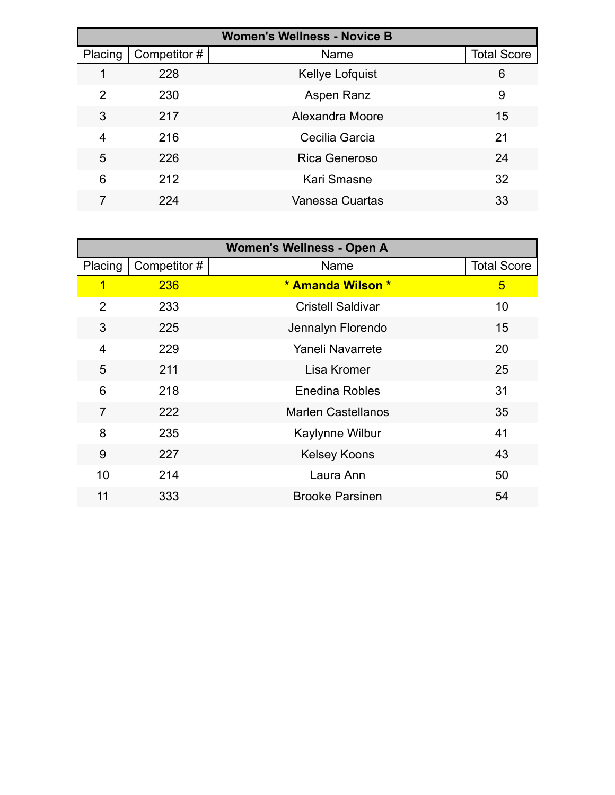| <b>Women's Wellness - Novice B</b> |              |                      |                    |  |
|------------------------------------|--------------|----------------------|--------------------|--|
| Placing                            | Competitor # | Name                 | <b>Total Score</b> |  |
|                                    | 228          | Kellye Lofquist      | 6                  |  |
| 2                                  | 230          | Aspen Ranz           | 9                  |  |
| 3                                  | 217          | Alexandra Moore      | 15                 |  |
| 4                                  | 216          | Cecilia Garcia       | 21                 |  |
| 5                                  | 226          | <b>Rica Generoso</b> | 24                 |  |
| 6                                  | 212          | Kari Smasne          | 32                 |  |
|                                    | 224          | Vanessa Cuartas      | 33                 |  |

|                |              | <b>Women's Wellness - Open A</b> |                    |
|----------------|--------------|----------------------------------|--------------------|
| Placing        | Competitor # | Name                             | <b>Total Score</b> |
| 1              | 236          | * Amanda Wilson *                | $\overline{5}$     |
| $\overline{2}$ | 233          | <b>Cristell Saldivar</b>         | 10                 |
| 3              | 225          | Jennalyn Florendo                | 15                 |
| $\overline{4}$ | 229          | Yaneli Navarrete                 | 20                 |
| 5              | 211          | Lisa Kromer                      | 25                 |
| 6              | 218          | <b>Enedina Robles</b>            | 31                 |
| $\overline{7}$ | 222          | <b>Marlen Castellanos</b>        | 35                 |
| 8              | 235          | Kaylynne Wilbur                  | 41                 |
| 9              | 227          | <b>Kelsey Koons</b>              | 43                 |
| 10             | 214          | Laura Ann                        | 50                 |
| 11             | 333          | <b>Brooke Parsinen</b>           | 54                 |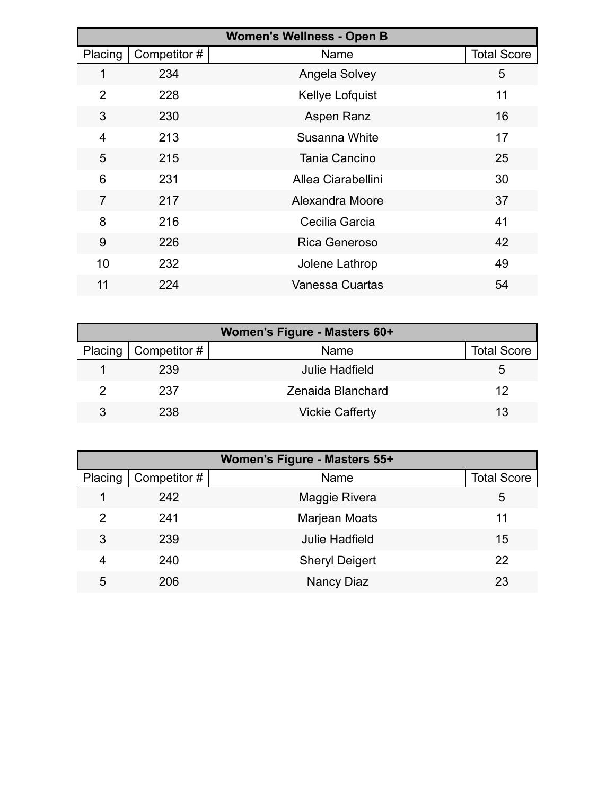|                |              | <b>Women's Wellness - Open B</b> |                    |
|----------------|--------------|----------------------------------|--------------------|
| Placing        | Competitor # | Name                             | <b>Total Score</b> |
| 1              | 234          | Angela Solvey                    | 5                  |
| 2              | 228          | Kellye Lofquist                  | 11                 |
| 3              | 230          | Aspen Ranz                       | 16                 |
| 4              | 213          | Susanna White                    | 17                 |
| 5              | 215          | Tania Cancino                    | 25                 |
| 6              | 231          | Allea Ciarabellini               | 30                 |
| $\overline{7}$ | 217          | Alexandra Moore                  | 37                 |
| 8              | 216          | Cecilia Garcia                   | 41                 |
| 9              | 226          | <b>Rica Generoso</b>             | 42                 |
| 10             | 232          | Jolene Lathrop                   | 49                 |
| 11             | 224          | Vanessa Cuartas                  | 54                 |

| Women's Figure - Masters 60+ |                              |                        |                    |  |
|------------------------------|------------------------------|------------------------|--------------------|--|
|                              | Placing $\vert$ Competitor # | Name                   | <b>Total Score</b> |  |
|                              | 239                          | <b>Julie Hadfield</b>  | 5.                 |  |
|                              | 237                          | Zenaida Blanchard      | 12                 |  |
|                              | 238                          | <b>Vickie Cafferty</b> | 13                 |  |

| Women's Figure - Masters 55+ |              |                       |                    |
|------------------------------|--------------|-----------------------|--------------------|
| Placing                      | Competitor # | Name                  | <b>Total Score</b> |
|                              | 242          | Maggie Rivera         | 5                  |
| 2                            | 241          | Marjean Moats         | 11                 |
| 3                            | 239          | <b>Julie Hadfield</b> | 15                 |
| 4                            | 240          | <b>Sheryl Deigert</b> | 22                 |
| 5                            | 206          | Nancy Diaz            | 23                 |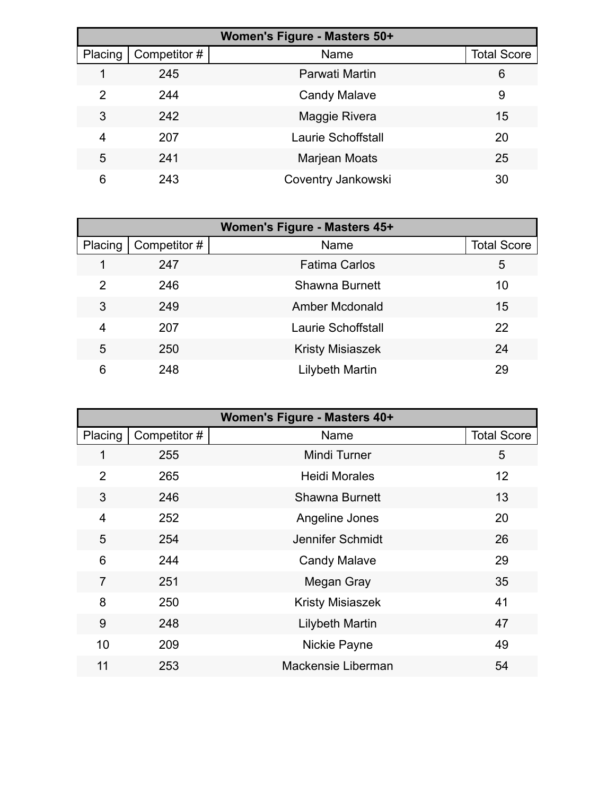| Women's Figure - Masters 50+ |              |                           |                    |
|------------------------------|--------------|---------------------------|--------------------|
| Placing                      | Competitor # | Name                      | <b>Total Score</b> |
|                              | 245          | Parwati Martin            | 6                  |
| 2                            | 244          | <b>Candy Malave</b>       | 9                  |
| 3                            | 242          | Maggie Rivera             | 15                 |
| 4                            | 207          | <b>Laurie Schoffstall</b> | 20                 |
| 5                            | 241          | Marjean Moats             | 25                 |
| 6                            | 243          | Coventry Jankowski        | 30                 |

| Women's Figure - Masters 45+ |              |                         |                    |
|------------------------------|--------------|-------------------------|--------------------|
| Placing                      | Competitor # | Name                    | <b>Total Score</b> |
|                              | 247          | <b>Fatima Carlos</b>    | 5                  |
| 2                            | 246          | <b>Shawna Burnett</b>   | 10                 |
| 3                            | 249          | <b>Amber Mcdonald</b>   | 15                 |
| 4                            | 207          | Laurie Schoffstall      | 22                 |
| 5                            | 250          | <b>Kristy Misiaszek</b> | 24                 |
| 6                            | 248          | Lilybeth Martin         | 29                 |

| Women's Figure - Masters 40+ |              |                         |                    |
|------------------------------|--------------|-------------------------|--------------------|
| Placing                      | Competitor # | Name                    | <b>Total Score</b> |
|                              | 255          | <b>Mindi Turner</b>     | 5                  |
| $\overline{2}$               | 265          | <b>Heidi Morales</b>    | 12 <sup>2</sup>    |
| 3                            | 246          | <b>Shawna Burnett</b>   | 13                 |
| 4                            | 252          | Angeline Jones          | 20                 |
| 5                            | 254          | Jennifer Schmidt        | 26                 |
| 6                            | 244          | <b>Candy Malave</b>     | 29                 |
| $\overline{7}$               | 251          | Megan Gray              | 35                 |
| 8                            | 250          | <b>Kristy Misiaszek</b> | 41                 |
| 9                            | 248          | <b>Lilybeth Martin</b>  | 47                 |
| 10                           | 209          | Nickie Payne            | 49                 |
| 11                           | 253          | Mackensie Liberman      | 54                 |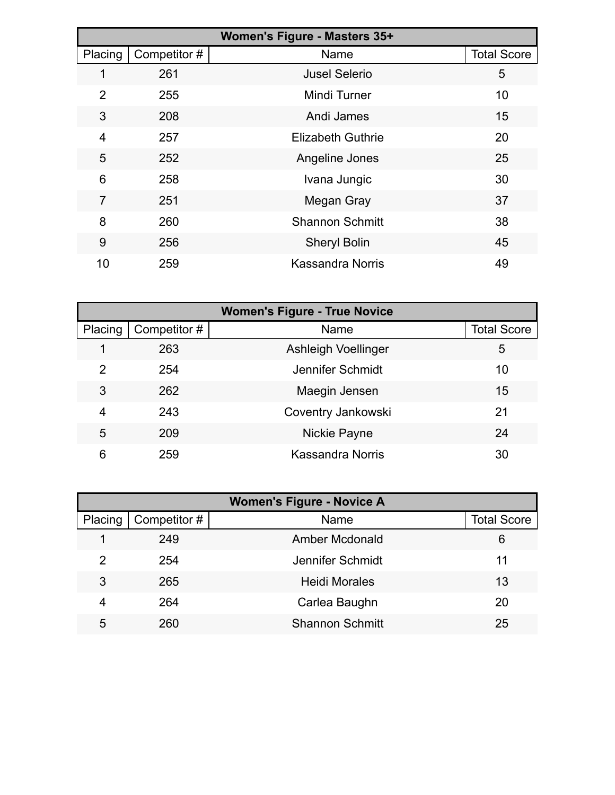| Women's Figure - Masters 35+ |              |                          |                    |
|------------------------------|--------------|--------------------------|--------------------|
| Placing                      | Competitor # | Name                     | <b>Total Score</b> |
| 1                            | 261          | <b>Jusel Selerio</b>     | 5                  |
| 2                            | 255          | <b>Mindi Turner</b>      | 10                 |
| 3                            | 208          | Andi James               | 15                 |
| 4                            | 257          | <b>Elizabeth Guthrie</b> | 20                 |
| 5                            | 252          | Angeline Jones           | 25                 |
| 6                            | 258          | Ivana Jungic             | 30                 |
| 7                            | 251          | Megan Gray               | 37                 |
| 8                            | 260          | <b>Shannon Schmitt</b>   | 38                 |
| 9                            | 256          | <b>Sheryl Bolin</b>      | 45                 |
| 10                           | 259          | <b>Kassandra Norris</b>  | 49                 |

| <b>Women's Figure - True Novice</b> |              |                         |                    |  |
|-------------------------------------|--------------|-------------------------|--------------------|--|
| Placing                             | Competitor # | Name                    | <b>Total Score</b> |  |
|                                     | 263          | Ashleigh Voellinger     | 5                  |  |
| 2                                   | 254          | Jennifer Schmidt        | 10                 |  |
| 3                                   | 262          | Maegin Jensen           | 15                 |  |
| 4                                   | 243          | Coventry Jankowski      | 21                 |  |
| 5                                   | 209          | Nickie Payne            | 24                 |  |
| 6                                   | 259          | <b>Kassandra Norris</b> | 30                 |  |

| <b>Women's Figure - Novice A</b> |              |                        |                    |
|----------------------------------|--------------|------------------------|--------------------|
| Placing                          | Competitor # | Name                   | <b>Total Score</b> |
|                                  | 249          | Amber Mcdonald         | 6                  |
| 2                                | 254          | Jennifer Schmidt       | 11                 |
| 3                                | 265          | <b>Heidi Morales</b>   | 13                 |
| 4                                | 264          | Carlea Baughn          | 20                 |
| 5                                | 260          | <b>Shannon Schmitt</b> | 25                 |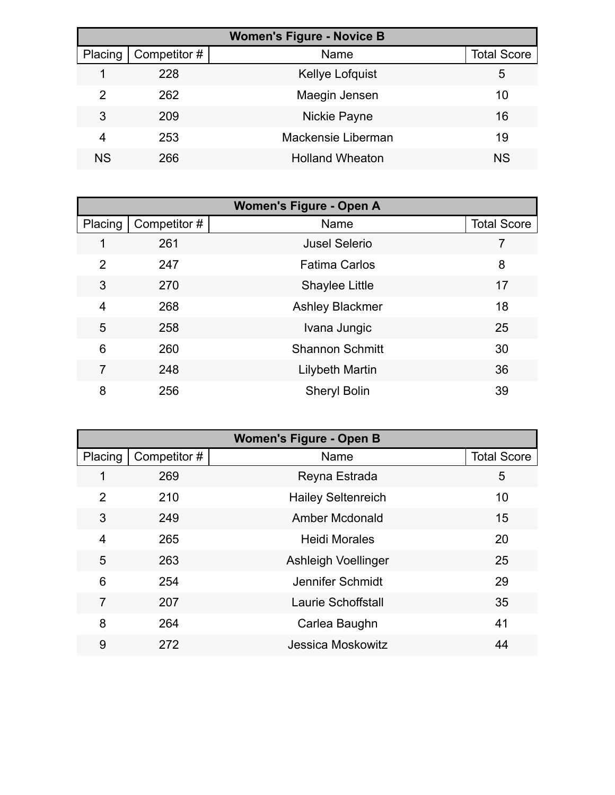| <b>Women's Figure - Novice B</b> |              |                        |                    |  |
|----------------------------------|--------------|------------------------|--------------------|--|
| Placing                          | Competitor # | Name                   | <b>Total Score</b> |  |
|                                  | 228          | Kellye Lofquist        | 5                  |  |
| 2                                | 262          | Maegin Jensen          | 10                 |  |
| 3                                | 209          | Nickie Payne           | 16                 |  |
| 4                                | 253          | Mackensie Liberman     | 19                 |  |
| <b>NS</b>                        | 266          | <b>Holland Wheaton</b> | <b>NS</b>          |  |

| <b>Women's Figure - Open A</b> |              |                        |                    |  |  |  |
|--------------------------------|--------------|------------------------|--------------------|--|--|--|
| Placing                        | Competitor # | Name                   | <b>Total Score</b> |  |  |  |
|                                | 261          | <b>Jusel Selerio</b>   |                    |  |  |  |
| $\overline{2}$                 | 247          | <b>Fatima Carlos</b>   | 8                  |  |  |  |
| 3                              | 270          | Shaylee Little         | 17                 |  |  |  |
| $\overline{4}$                 | 268          | <b>Ashley Blackmer</b> | 18                 |  |  |  |
| 5                              | 258          | Ivana Jungic           | 25                 |  |  |  |
| 6                              | 260          | <b>Shannon Schmitt</b> | 30                 |  |  |  |
| $\overline{7}$                 | 248          | Lilybeth Martin        | 36                 |  |  |  |
| 8                              | 256          | <b>Sheryl Bolin</b>    | 39                 |  |  |  |

| <b>Women's Figure - Open B</b> |              |                           |                    |  |  |
|--------------------------------|--------------|---------------------------|--------------------|--|--|
| Placing                        | Competitor # | Name                      | <b>Total Score</b> |  |  |
| 1                              | 269          | Reyna Estrada             | 5                  |  |  |
| $\overline{2}$                 | 210          | <b>Hailey Seltenreich</b> | 10                 |  |  |
| 3                              | 249          | <b>Amber Mcdonald</b>     | 15                 |  |  |
| 4                              | 265          | <b>Heidi Morales</b>      | 20                 |  |  |
| 5                              | 263          | Ashleigh Voellinger       | 25                 |  |  |
| 6                              | 254          | Jennifer Schmidt          | 29                 |  |  |
| 7                              | 207          | Laurie Schoffstall        | 35                 |  |  |
| 8                              | 264          | Carlea Baughn             | 41                 |  |  |
| 9                              | 272          | Jessica Moskowitz         | 44                 |  |  |